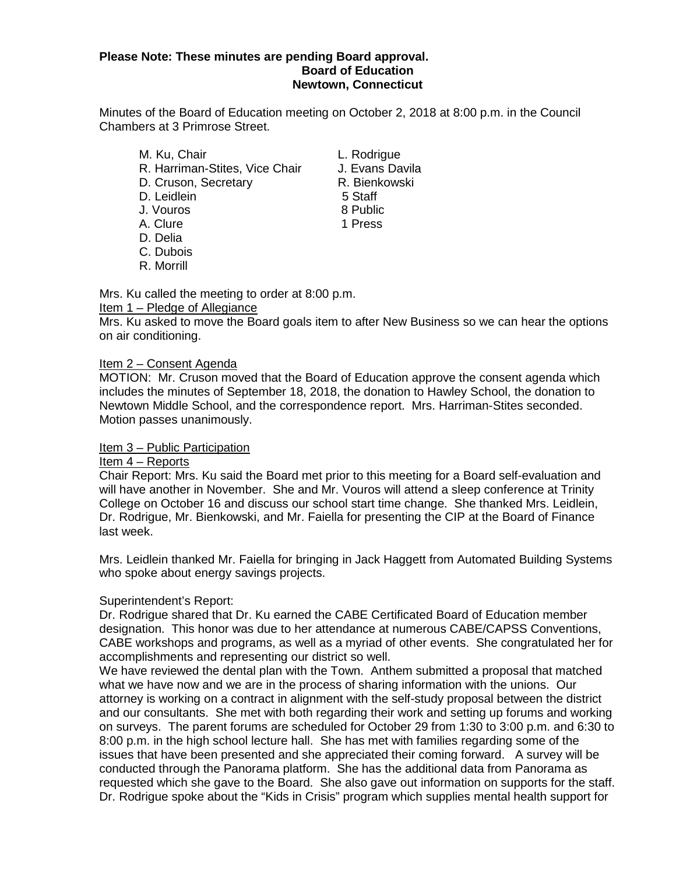#### **Please Note: These minutes are pending Board approval. Board of Education Newtown, Connecticut**

Minutes of the Board of Education meeting on October 2, 2018 at 8:00 p.m. in the Council Chambers at 3 Primrose Street.

- M. Ku, Chair **M. Ku, Chair**<br>R. Harriman-Stites. Vice Chair All Evans Davila R. Harriman-Stites, Vice Chair D. Cruson, Secretary **R. Bienkowski** D. Leidlein 5 Staff J. Vouros 8 Public
- 
- D. Delia
- C. Dubois
- R. Morrill

A. Clure 2012 1 Press

Mrs. Ku called the meeting to order at 8:00 p.m.

#### Item 1 – Pledge of Allegiance

Mrs. Ku asked to move the Board goals item to after New Business so we can hear the options on air conditioning.

#### Item 2 – Consent Agenda

MOTION: Mr. Cruson moved that the Board of Education approve the consent agenda which includes the minutes of September 18, 2018, the donation to Hawley School, the donation to Newtown Middle School, and the correspondence report. Mrs. Harriman-Stites seconded. Motion passes unanimously.

#### Item 3 – Public Participation

#### Item 4 – Reports

Chair Report: Mrs. Ku said the Board met prior to this meeting for a Board self-evaluation and will have another in November. She and Mr. Vouros will attend a sleep conference at Trinity College on October 16 and discuss our school start time change. She thanked Mrs. Leidlein, Dr. Rodrigue, Mr. Bienkowski, and Mr. Faiella for presenting the CIP at the Board of Finance last week.

Mrs. Leidlein thanked Mr. Faiella for bringing in Jack Haggett from Automated Building Systems who spoke about energy savings projects.

#### Superintendent's Report:

Dr. Rodrigue shared that Dr. Ku earned the CABE Certificated Board of Education member designation. This honor was due to her attendance at numerous CABE/CAPSS Conventions, CABE workshops and programs, as well as a myriad of other events. She congratulated her for accomplishments and representing our district so well.

We have reviewed the dental plan with the Town. Anthem submitted a proposal that matched what we have now and we are in the process of sharing information with the unions. Our attorney is working on a contract in alignment with the self-study proposal between the district and our consultants. She met with both regarding their work and setting up forums and working on surveys. The parent forums are scheduled for October 29 from 1:30 to 3:00 p.m. and 6:30 to 8:00 p.m. in the high school lecture hall. She has met with families regarding some of the issues that have been presented and she appreciated their coming forward. A survey will be conducted through the Panorama platform. She has the additional data from Panorama as requested which she gave to the Board. She also gave out information on supports for the staff. Dr. Rodrigue spoke about the "Kids in Crisis" program which supplies mental health support for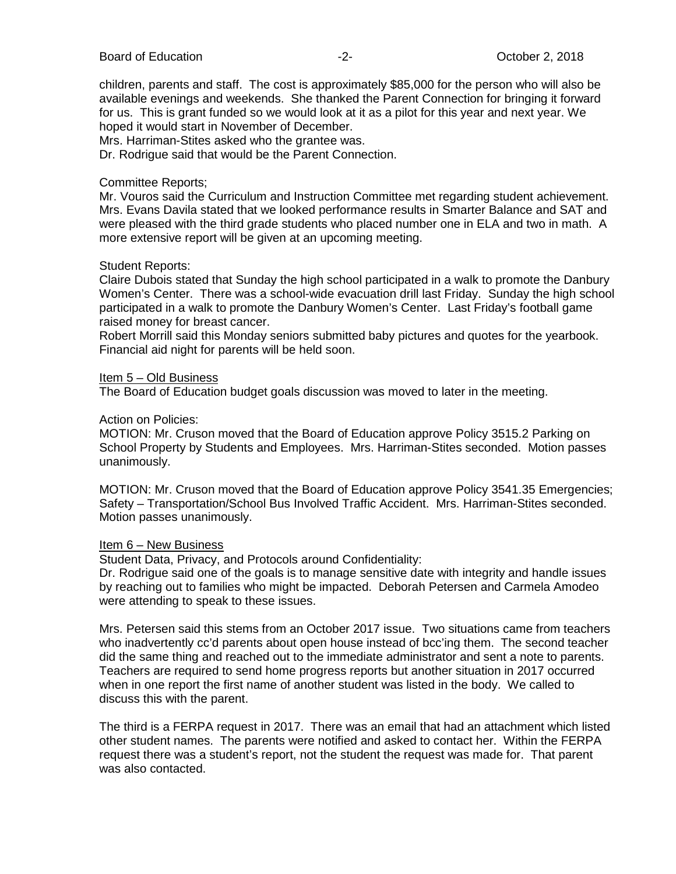children, parents and staff. The cost is approximately \$85,000 for the person who will also be available evenings and weekends. She thanked the Parent Connection for bringing it forward for us. This is grant funded so we would look at it as a pilot for this year and next year. We hoped it would start in November of December.

Mrs. Harriman-Stites asked who the grantee was.

Dr. Rodrigue said that would be the Parent Connection.

#### Committee Reports;

Mr. Vouros said the Curriculum and Instruction Committee met regarding student achievement. Mrs. Evans Davila stated that we looked performance results in Smarter Balance and SAT and were pleased with the third grade students who placed number one in ELA and two in math. A more extensive report will be given at an upcoming meeting.

#### Student Reports:

Claire Dubois stated that Sunday the high school participated in a walk to promote the Danbury Women's Center. There was a school-wide evacuation drill last Friday. Sunday the high school participated in a walk to promote the Danbury Women's Center. Last Friday's football game raised money for breast cancer.

Robert Morrill said this Monday seniors submitted baby pictures and quotes for the yearbook. Financial aid night for parents will be held soon.

#### Item 5 – Old Business

The Board of Education budget goals discussion was moved to later in the meeting.

#### Action on Policies:

MOTION: Mr. Cruson moved that the Board of Education approve Policy 3515.2 Parking on School Property by Students and Employees. Mrs. Harriman-Stites seconded. Motion passes unanimously.

MOTION: Mr. Cruson moved that the Board of Education approve Policy 3541.35 Emergencies; Safety – Transportation/School Bus Involved Traffic Accident. Mrs. Harriman-Stites seconded. Motion passes unanimously.

#### Item 6 – New Business

Student Data, Privacy, and Protocols around Confidentiality:

Dr. Rodrigue said one of the goals is to manage sensitive date with integrity and handle issues by reaching out to families who might be impacted. Deborah Petersen and Carmela Amodeo were attending to speak to these issues.

Mrs. Petersen said this stems from an October 2017 issue. Two situations came from teachers who inadvertently cc'd parents about open house instead of bcc'ing them. The second teacher did the same thing and reached out to the immediate administrator and sent a note to parents. Teachers are required to send home progress reports but another situation in 2017 occurred when in one report the first name of another student was listed in the body. We called to discuss this with the parent.

The third is a FERPA request in 2017. There was an email that had an attachment which listed other student names. The parents were notified and asked to contact her. Within the FERPA request there was a student's report, not the student the request was made for. That parent was also contacted.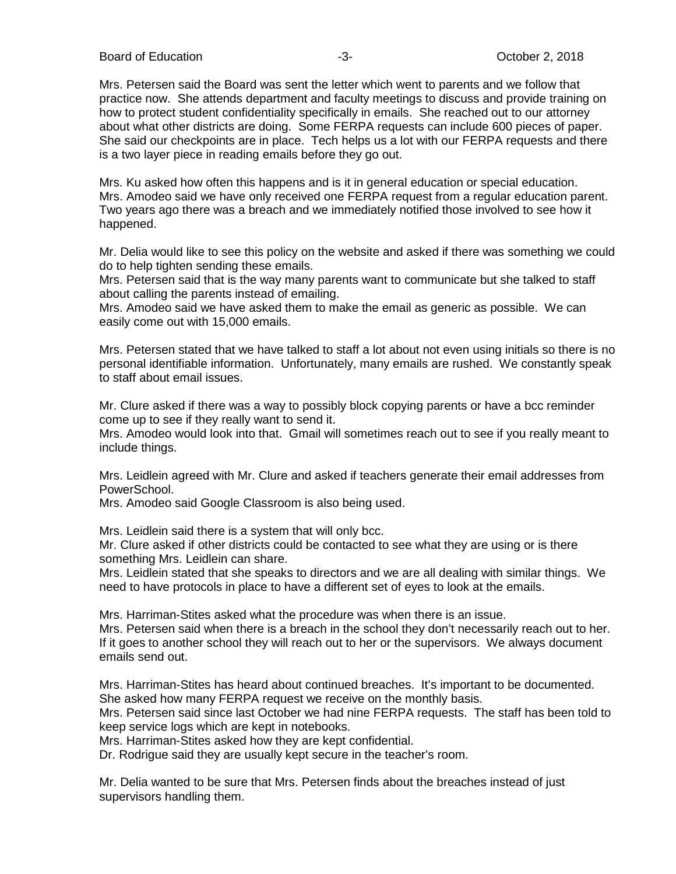Board of Education **-3-** All the set of the Society of Education **-3-** All the Society of Detober 2, 2018

Mrs. Petersen said the Board was sent the letter which went to parents and we follow that practice now. She attends department and faculty meetings to discuss and provide training on how to protect student confidentiality specifically in emails. She reached out to our attorney about what other districts are doing. Some FERPA requests can include 600 pieces of paper. She said our checkpoints are in place. Tech helps us a lot with our FERPA requests and there is a two layer piece in reading emails before they go out.

Mrs. Ku asked how often this happens and is it in general education or special education. Mrs. Amodeo said we have only received one FERPA request from a regular education parent. Two years ago there was a breach and we immediately notified those involved to see how it happened.

Mr. Delia would like to see this policy on the website and asked if there was something we could do to help tighten sending these emails.

Mrs. Petersen said that is the way many parents want to communicate but she talked to staff about calling the parents instead of emailing.

Mrs. Amodeo said we have asked them to make the email as generic as possible. We can easily come out with 15,000 emails.

Mrs. Petersen stated that we have talked to staff a lot about not even using initials so there is no personal identifiable information. Unfortunately, many emails are rushed. We constantly speak to staff about email issues.

Mr. Clure asked if there was a way to possibly block copying parents or have a bcc reminder come up to see if they really want to send it.

Mrs. Amodeo would look into that. Gmail will sometimes reach out to see if you really meant to include things.

Mrs. Leidlein agreed with Mr. Clure and asked if teachers generate their email addresses from PowerSchool.

Mrs. Amodeo said Google Classroom is also being used.

Mrs. Leidlein said there is a system that will only bcc.

Mr. Clure asked if other districts could be contacted to see what they are using or is there something Mrs. Leidlein can share.

Mrs. Leidlein stated that she speaks to directors and we are all dealing with similar things. We need to have protocols in place to have a different set of eyes to look at the emails.

Mrs. Harriman-Stites asked what the procedure was when there is an issue.

Mrs. Petersen said when there is a breach in the school they don't necessarily reach out to her. If it goes to another school they will reach out to her or the supervisors. We always document emails send out.

Mrs. Harriman-Stites has heard about continued breaches. It's important to be documented. She asked how many FERPA request we receive on the monthly basis.

Mrs. Petersen said since last October we had nine FERPA requests. The staff has been told to keep service logs which are kept in notebooks.

Mrs. Harriman-Stites asked how they are kept confidential.

Dr. Rodrigue said they are usually kept secure in the teacher's room.

Mr. Delia wanted to be sure that Mrs. Petersen finds about the breaches instead of just supervisors handling them.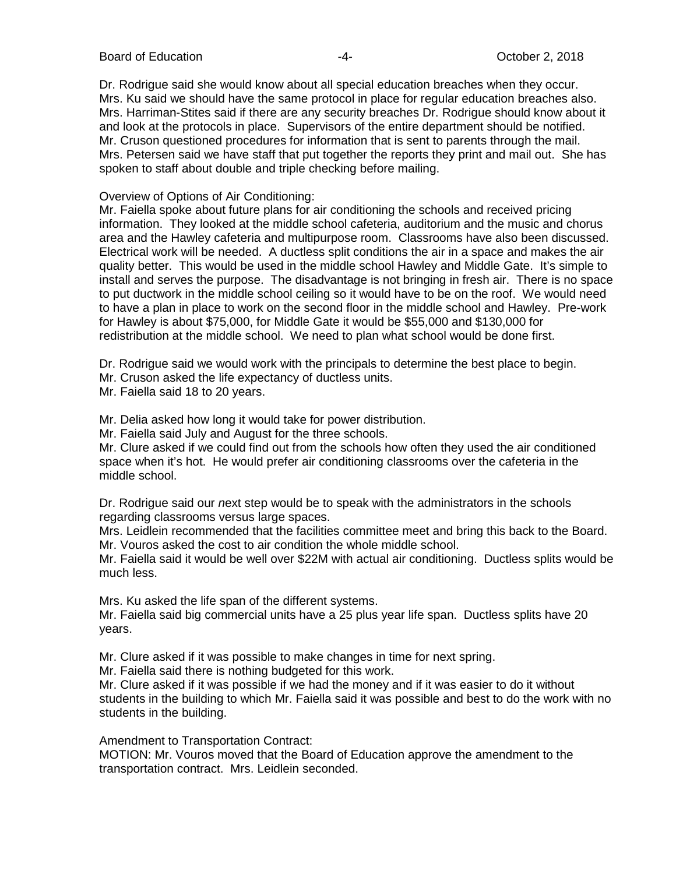Board of Education **Contact Contact Contact Contact Contact Contact Contact Contact Contact Contact Contact Contact Contact Contact Contact Contact Contact Contact Contact Contact Contact Contact Contact Contact Contact Co** 

Dr. Rodrigue said she would know about all special education breaches when they occur. Mrs. Ku said we should have the same protocol in place for regular education breaches also. Mrs. Harriman-Stites said if there are any security breaches Dr. Rodrigue should know about it and look at the protocols in place. Supervisors of the entire department should be notified. Mr. Cruson questioned procedures for information that is sent to parents through the mail. Mrs. Petersen said we have staff that put together the reports they print and mail out. She has spoken to staff about double and triple checking before mailing.

#### Overview of Options of Air Conditioning:

Mr. Faiella spoke about future plans for air conditioning the schools and received pricing information. They looked at the middle school cafeteria, auditorium and the music and chorus area and the Hawley cafeteria and multipurpose room. Classrooms have also been discussed. Electrical work will be needed. A ductless split conditions the air in a space and makes the air quality better. This would be used in the middle school Hawley and Middle Gate. It's simple to install and serves the purpose. The disadvantage is not bringing in fresh air. There is no space to put ductwork in the middle school ceiling so it would have to be on the roof. We would need to have a plan in place to work on the second floor in the middle school and Hawley. Pre-work for Hawley is about \$75,000, for Middle Gate it would be \$55,000 and \$130,000 for redistribution at the middle school. We need to plan what school would be done first.

Dr. Rodrigue said we would work with the principals to determine the best place to begin.

Mr. Cruson asked the life expectancy of ductless units.

Mr. Faiella said 18 to 20 years.

Mr. Delia asked how long it would take for power distribution.

Mr. Faiella said July and August for the three schools.

Mr. Clure asked if we could find out from the schools how often they used the air conditioned space when it's hot. He would prefer air conditioning classrooms over the cafeteria in the middle school.

Dr. Rodrigue said our *n*ext step would be to speak with the administrators in the schools regarding classrooms versus large spaces.

Mrs. Leidlein recommended that the facilities committee meet and bring this back to the Board. Mr. Vouros asked the cost to air condition the whole middle school.

Mr. Faiella said it would be well over \$22M with actual air conditioning. Ductless splits would be much less.

Mrs. Ku asked the life span of the different systems.

Mr. Faiella said big commercial units have a 25 plus year life span. Ductless splits have 20 years.

Mr. Clure asked if it was possible to make changes in time for next spring.

Mr. Faiella said there is nothing budgeted for this work.

Mr. Clure asked if it was possible if we had the money and if it was easier to do it without students in the building to which Mr. Faiella said it was possible and best to do the work with no students in the building.

Amendment to Transportation Contract:

MOTION: Mr. Vouros moved that the Board of Education approve the amendment to the transportation contract. Mrs. Leidlein seconded.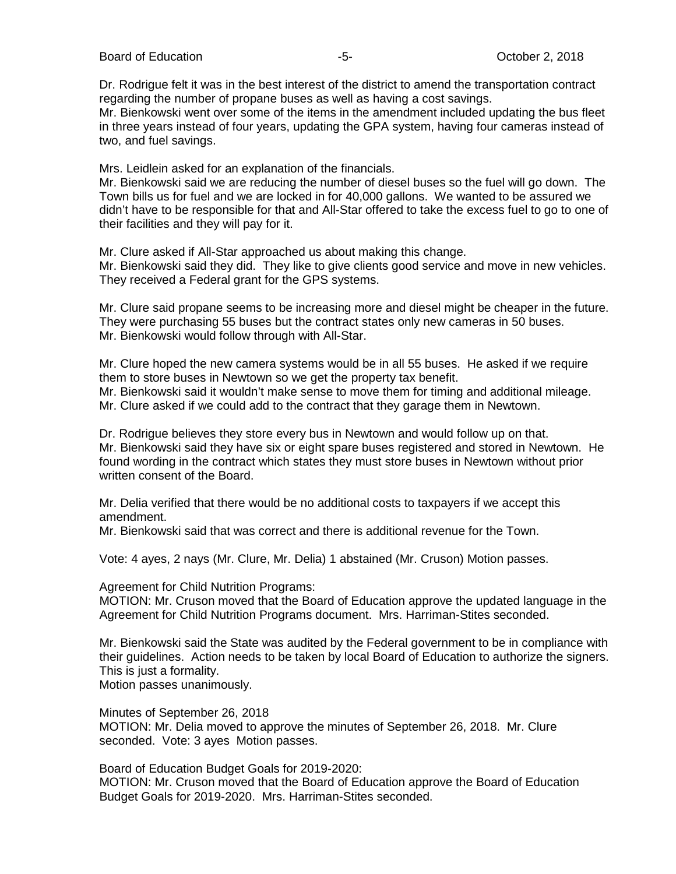Board of Education  $-5$ -  $-5$ -  $-5$ - October 2, 2018

Dr. Rodrigue felt it was in the best interest of the district to amend the transportation contract regarding the number of propane buses as well as having a cost savings.

Mr. Bienkowski went over some of the items in the amendment included updating the bus fleet in three years instead of four years, updating the GPA system, having four cameras instead of two, and fuel savings.

Mrs. Leidlein asked for an explanation of the financials.

Mr. Bienkowski said we are reducing the number of diesel buses so the fuel will go down. The Town bills us for fuel and we are locked in for 40,000 gallons. We wanted to be assured we didn't have to be responsible for that and All-Star offered to take the excess fuel to go to one of their facilities and they will pay for it.

Mr. Clure asked if All-Star approached us about making this change. Mr. Bienkowski said they did. They like to give clients good service and move in new vehicles. They received a Federal grant for the GPS systems.

Mr. Clure said propane seems to be increasing more and diesel might be cheaper in the future. They were purchasing 55 buses but the contract states only new cameras in 50 buses. Mr. Bienkowski would follow through with All-Star.

Mr. Clure hoped the new camera systems would be in all 55 buses. He asked if we require them to store buses in Newtown so we get the property tax benefit.

Mr. Bienkowski said it wouldn't make sense to move them for timing and additional mileage.

Mr. Clure asked if we could add to the contract that they garage them in Newtown.

Dr. Rodrigue believes they store every bus in Newtown and would follow up on that. Mr. Bienkowski said they have six or eight spare buses registered and stored in Newtown. He found wording in the contract which states they must store buses in Newtown without prior written consent of the Board.

Mr. Delia verified that there would be no additional costs to taxpayers if we accept this amendment.

Mr. Bienkowski said that was correct and there is additional revenue for the Town.

Vote: 4 ayes, 2 nays (Mr. Clure, Mr. Delia) 1 abstained (Mr. Cruson) Motion passes.

Agreement for Child Nutrition Programs:

MOTION: Mr. Cruson moved that the Board of Education approve the updated language in the Agreement for Child Nutrition Programs document. Mrs. Harriman-Stites seconded.

Mr. Bienkowski said the State was audited by the Federal government to be in compliance with their guidelines. Action needs to be taken by local Board of Education to authorize the signers. This is just a formality. Motion passes unanimously.

Minutes of September 26, 2018

MOTION: Mr. Delia moved to approve the minutes of September 26, 2018. Mr. Clure seconded. Vote: 3 ayes Motion passes.

Board of Education Budget Goals for 2019-2020: MOTION: Mr. Cruson moved that the Board of Education approve the Board of Education Budget Goals for 2019-2020. Mrs. Harriman-Stites seconded.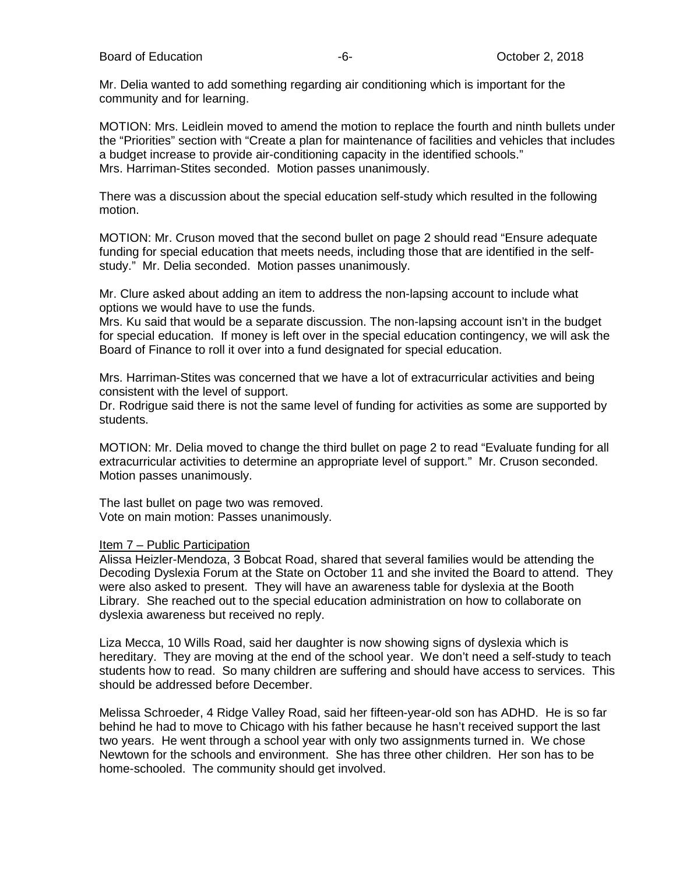Mr. Delia wanted to add something regarding air conditioning which is important for the community and for learning.

MOTION: Mrs. Leidlein moved to amend the motion to replace the fourth and ninth bullets under the "Priorities" section with "Create a plan for maintenance of facilities and vehicles that includes a budget increase to provide air-conditioning capacity in the identified schools." Mrs. Harriman-Stites seconded. Motion passes unanimously.

There was a discussion about the special education self-study which resulted in the following motion.

MOTION: Mr. Cruson moved that the second bullet on page 2 should read "Ensure adequate funding for special education that meets needs, including those that are identified in the selfstudy." Mr. Delia seconded. Motion passes unanimously.

Mr. Clure asked about adding an item to address the non-lapsing account to include what options we would have to use the funds.

Mrs. Ku said that would be a separate discussion. The non-lapsing account isn't in the budget for special education. If money is left over in the special education contingency, we will ask the Board of Finance to roll it over into a fund designated for special education.

Mrs. Harriman-Stites was concerned that we have a lot of extracurricular activities and being consistent with the level of support.

Dr. Rodrigue said there is not the same level of funding for activities as some are supported by students.

MOTION: Mr. Delia moved to change the third bullet on page 2 to read "Evaluate funding for all extracurricular activities to determine an appropriate level of support." Mr. Cruson seconded. Motion passes unanimously.

The last bullet on page two was removed. Vote on main motion: Passes unanimously.

#### Item 7 – Public Participation

Alissa Heizler-Mendoza, 3 Bobcat Road, shared that several families would be attending the Decoding Dyslexia Forum at the State on October 11 and she invited the Board to attend. They were also asked to present. They will have an awareness table for dyslexia at the Booth Library. She reached out to the special education administration on how to collaborate on dyslexia awareness but received no reply.

Liza Mecca, 10 Wills Road, said her daughter is now showing signs of dyslexia which is hereditary. They are moving at the end of the school year. We don't need a self-study to teach students how to read. So many children are suffering and should have access to services. This should be addressed before December.

Melissa Schroeder, 4 Ridge Valley Road, said her fifteen-year-old son has ADHD. He is so far behind he had to move to Chicago with his father because he hasn't received support the last two years. He went through a school year with only two assignments turned in. We chose Newtown for the schools and environment. She has three other children. Her son has to be home-schooled. The community should get involved.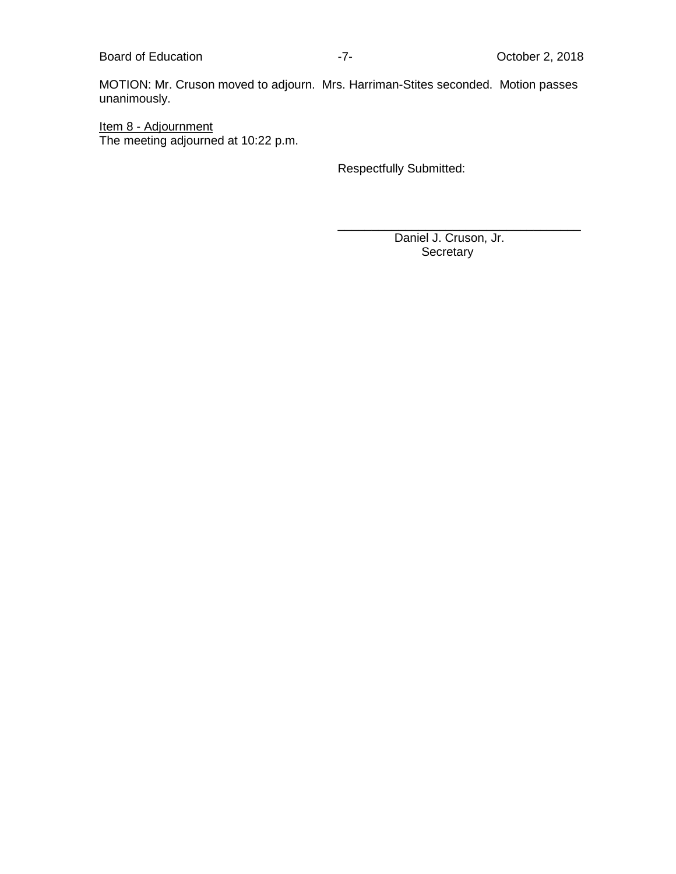Board of Education **Contact Education** 17- 17- The Correct Correct Correct Poet Correct Poet Correct Poet Correct Poet Correct Poet Correct Poet Correct Poet Correct Poet Correct Poet Correct Poet Correct Poet Correct Poet

MOTION: Mr. Cruson moved to adjourn. Mrs. Harriman-Stites seconded. Motion passes unanimously.

Item 8 - Adjournment The meeting adjourned at 10:22 p.m.

Respectfully Submitted:

\_\_\_\_\_\_\_\_\_\_\_\_\_\_\_\_\_\_\_\_\_\_\_\_\_\_\_\_\_\_\_\_\_\_\_\_ Daniel J. Cruson, Jr. **Secretary**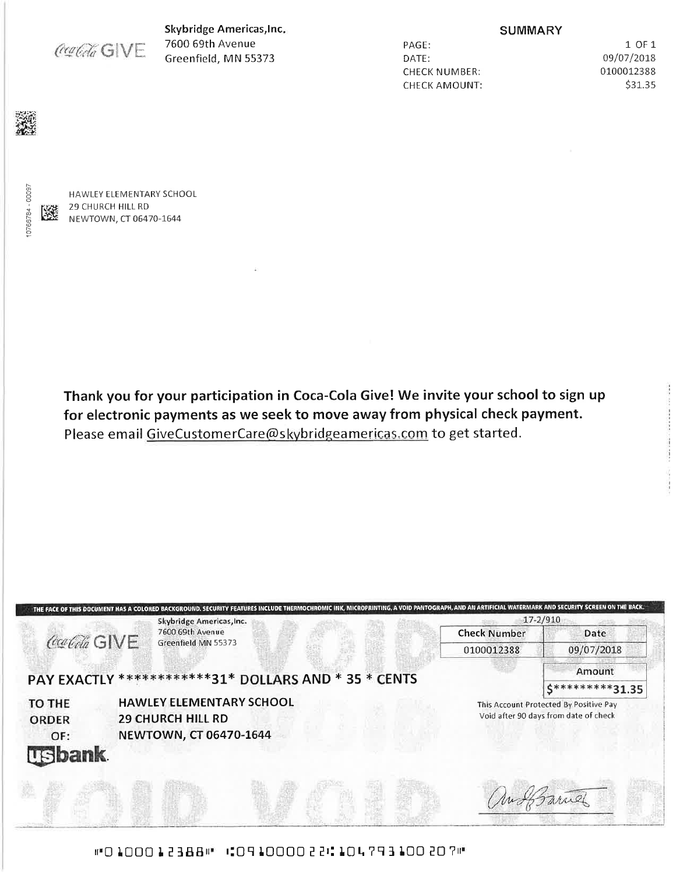Coalda GWE

Skybridge Americas, Inc. 7600 69th Avenue Greenfield, MN 55373

PAGE: DATE: **CHECK NUMBER: CHECK AMOUNT:** 

**SUMMARY** 

1 OF 1 09/07/2018 0100012388 \$31.35

10766784 - 00097

醚

HAWLEY ELEMENTARY SCHOOL 29 CHURCH HILL RD NEWTOWN, CT 06470-1644

Thank you for your participation in Coca-Cola Give! We invite your school to sign up for electronic payments as we seek to move away from physical check payment. Please email GiveCustomerCare@skybridgeamericas.com to get started.



#"0100012388# 10910000221.104793100207#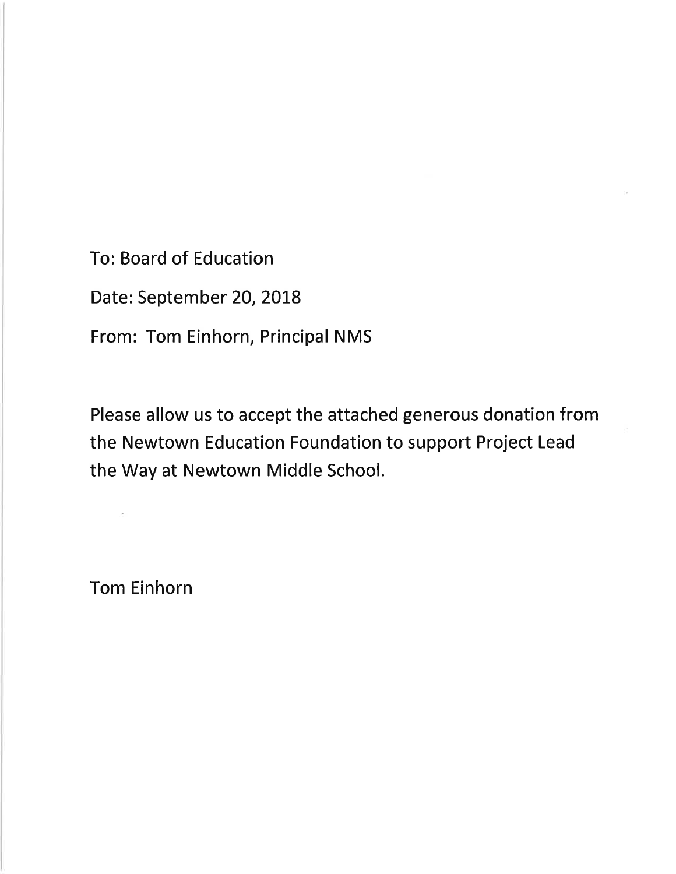**To: Board of Education** 

Date: September 20, 2018

From: Tom Einhorn, Principal NMS

Please allow us to accept the attached generous donation from the Newtown Education Foundation to support Project Lead the Way at Newtown Middle School.

**Tom Einhorn**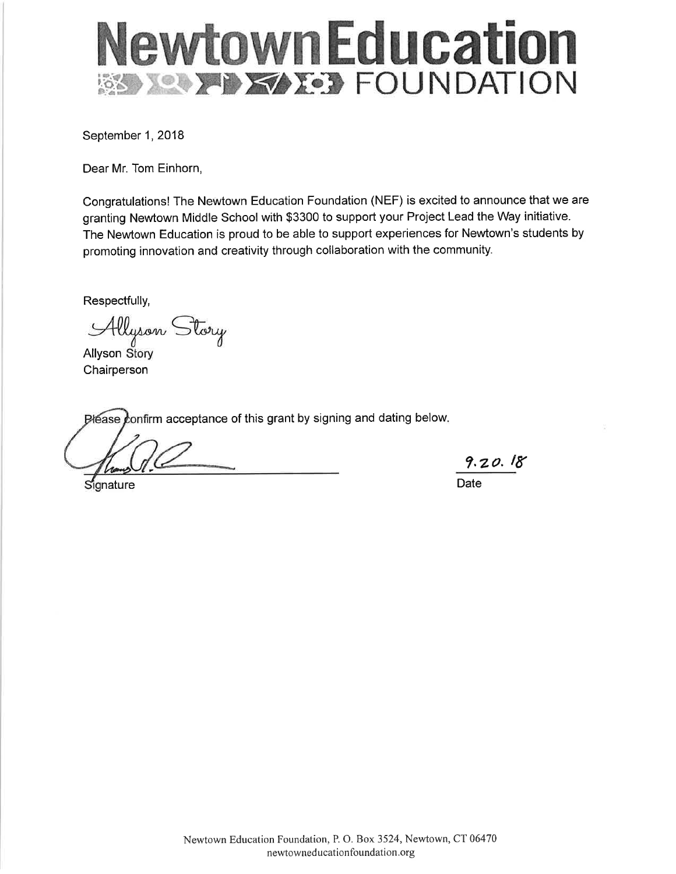# NewtownEducation **SSIMILY STATE: FOUNDATION**

September 1, 2018

Dear Mr. Tom Einhorn,

Congratulations! The Newtown Education Foundation (NEF) is excited to announce that we are granting Newtown Middle School with \$3300 to support your Project Lead the Way initiative. The Newtown Education is proud to be able to support experiences for Newtown's students by promoting innovation and creativity through collaboration with the community.

Respectfully,

Allyson Story

**Allyson Story** Chairperson

Please confirm acceptance of this grant by signing and dating below.

Signature

9.20.18 Date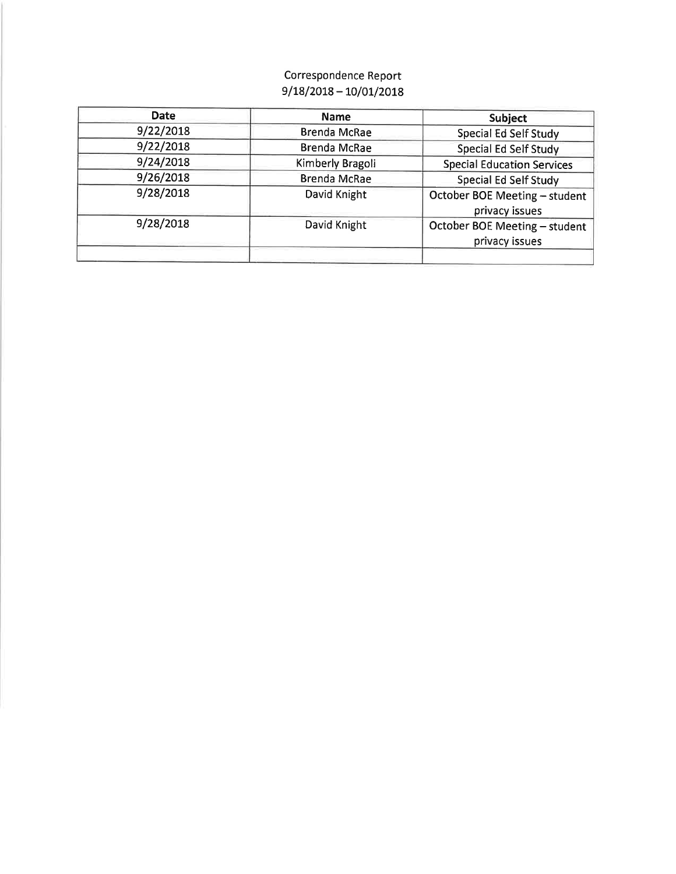## Correspondence Report  $9/18/2018 - 10/01/2018$

| <b>Date</b> | <b>Name</b>         | <b>Subject</b>                                  |
|-------------|---------------------|-------------------------------------------------|
| 9/22/2018   | <b>Brenda McRae</b> | <b>Special Ed Self Study</b>                    |
| 9/22/2018   | <b>Brenda McRae</b> | <b>Special Ed Self Study</b>                    |
| 9/24/2018   | Kimberly Bragoli    | <b>Special Education Services</b>               |
| 9/26/2018   | <b>Brenda McRae</b> | <b>Special Ed Self Study</b>                    |
| 9/28/2018   | David Knight        | October BOE Meeting - student<br>privacy issues |
| 9/28/2018   | David Knight        | October BOE Meeting - student<br>privacy issues |
|             |                     |                                                 |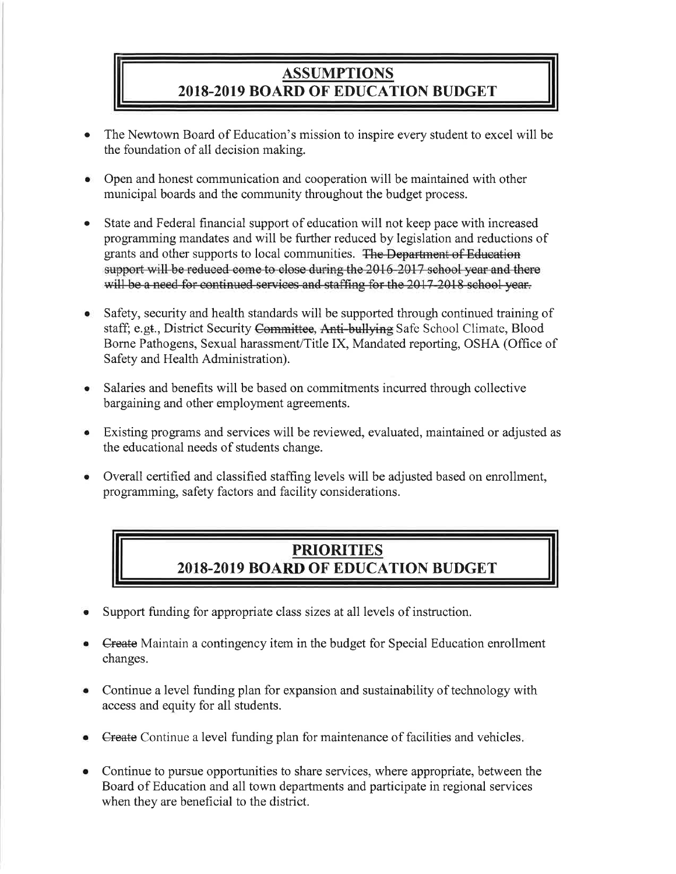## **ASSUMPTIONS 2018-2019 BOARD OF EDUCATION BUDGET**

- The Newtown Board of Education's mission to inspire every student to excel will be the foundation of all decision making.
- Open and honest communication and cooperation will be maintained with other municipal boards and the community throughout the budget process.
- State and Federal financial support of education will not keep pace with increased  $\bullet$ programming mandates and will be further reduced by legislation and reductions of grants and other supports to local communities. The Department of Education support will be reduced come to close during the 2016-2017 school year and there will be a need for continued services and staffing for the 2017-2018 school year.
- Safety, security and health standards will be supported through continued training of staff; e.gt., District Security Committee, Anti-bullying Safe School Climate, Blood Borne Pathogens, Sexual harassment/Title IX, Mandated reporting, OSHA (Office of Safety and Health Administration).
- Salaries and benefits will be based on commitments incurred through collective bargaining and other employment agreements.
- Existing programs and services will be reviewed, evaluated, maintained or adjusted as the educational needs of students change.
- Overall certified and classified staffing levels will be adjusted based on enrollment, ۰ programming, safety factors and facility considerations.

# **PRIORITIES** 2018-2019 BOARD OF EDUCATION BUDGET

- Support funding for appropriate class sizes at all levels of instruction.
- **Create** Maintain a contingency item in the budget for Special Education enrollment changes.
- Continue a level funding plan for expansion and sustainability of technology with access and equity for all students.
- Create Continue a level funding plan for maintenance of facilities and vehicles.
- Continue to pursue opportunities to share services, where appropriate, between the Board of Education and all town departments and participate in regional services when they are beneficial to the district.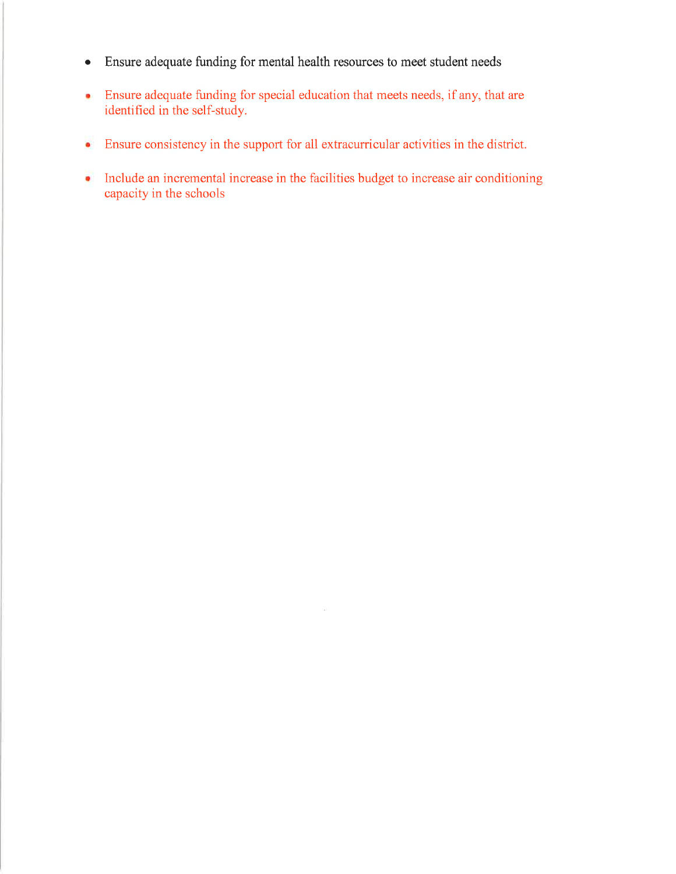- Ensure adequate funding for mental health resources to meet student needs  $\bullet$
- Ensure adequate funding for special education that meets needs, if any, that are  $\bullet$ identified in the self-study.
- Ensure consistency in the support for all extracurricular activities in the district.  $\bullet$
- Include an incremental increase in the facilities budget to increase air conditioning capacity in the schools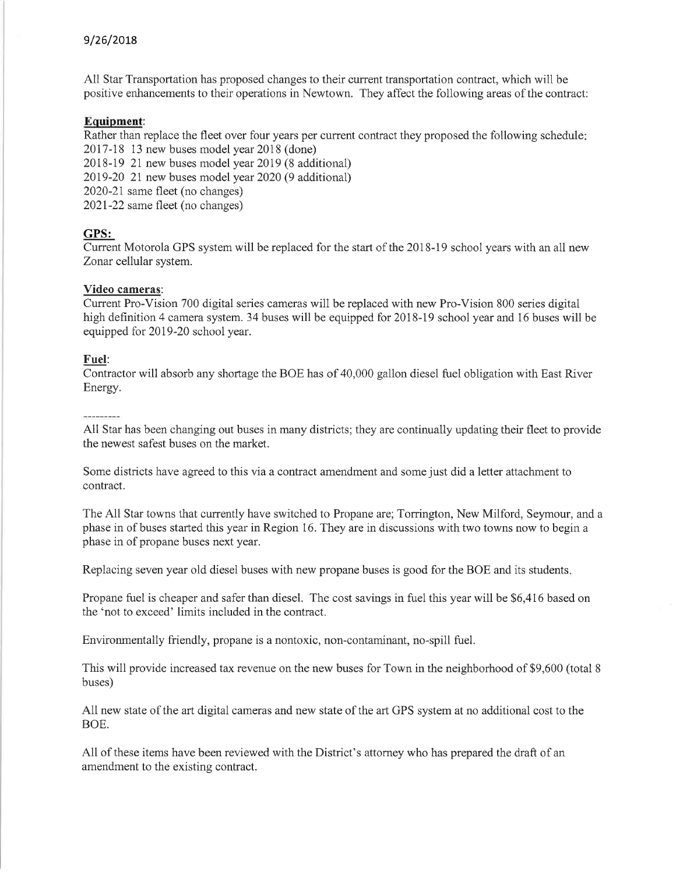#### 9/26/2018

All Star Transportation has proposed changes to their current transportation contract, which will be positive enhancements to their operations in Newtown. They affect the following areas of the contract:

#### Equipment:

Rather than replace the fleet over four years per current contract they proposed the following schedule: 2017-18 13 new buses model year 2018 (done)

2018-19 21 new buses model year 2019 (8 additional)

2019-20 21 new buses model year 2020 (9 additional)

2020-21 same fleet (no changes)

2021-22 same fleet (no changes)

#### GPS:

Current Motorola GPS system will be replaced for the start of the 2018-19 school years with an all new Zonar cellular system.

#### Video cameras:

Current Pro-Vision 700 digital series cameras will be replaced with new Pro-Vision 800 series digital high definition 4 camera system. 34 buses will be equipped for 2018-19 school year and 16 buses will be equipped for 2019-20 school year.

#### Fuel:

Contractor will absorb any shortage the BOE has of 40,000 gallon diesel fuel obligation with East River Energy.

All Star has been changing out buses in many districts; they are continually updating their fleet to provide the newest safest buses on the market.

Some districts have agreed to this via a contract amendment and some just did a letter attachment to contract.

The All Star towns that currently have switched to Propane are; Torrington, New Milford, Seymour, and a phase in of buses started this year in Region 16. They are in discussions with two towns now to begin a phase in of propane buses next year.

Replacing seven year old diesel buses with new propane buses is good for the BOE and its students.

Propane fuel is cheaper and safer than diesel. The cost savings in fuel this year will be \$6,416 based on the 'not to exceed' limits included in the contract.

Environmentally friendly, propane is a nontoxic, non-contaminant, no-spill fuel.

This will provide increased tax revenue on the new buses for Town in the neighborhood of \$9,600 (total 8 buses)

All new state of the art digital cameras and new state of the art GPS system at no additional cost to the BOE.

All of these items have been reviewed with the District's attorney who has prepared the draft of an amendment to the existing contract.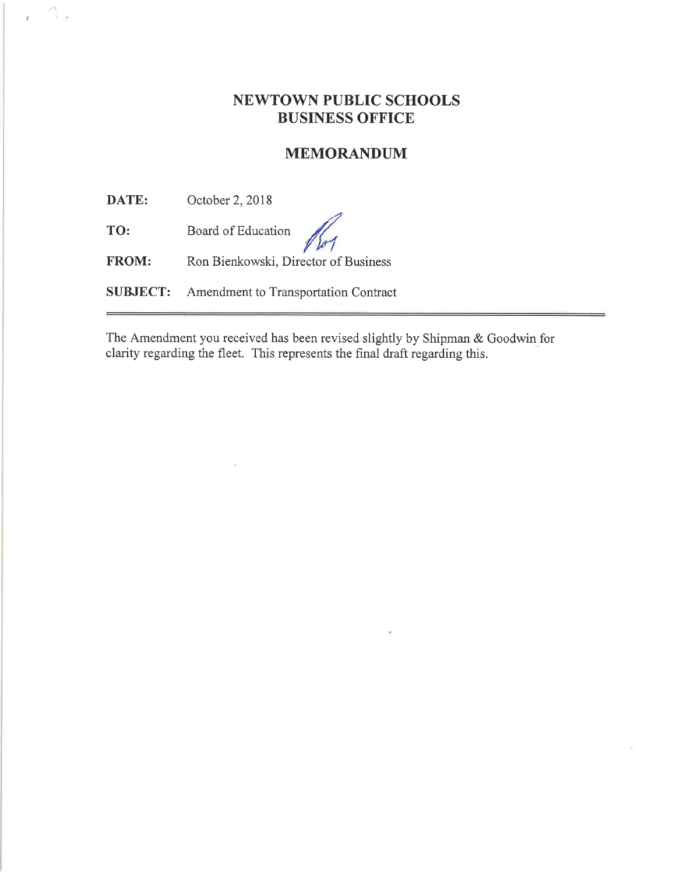## **NEWTOWN PUBLIC SCHOOLS BUSINESS OFFICE**

### **MEMORANDUM**

DATE: October 2, 2018

 $1.5$ 

Board of Education TO:

Ron Bienkowski, Director of Business FROM:

Amendment to Transportation Contract **SUBJECT:** 

The Amendment you received has been revised slightly by Shipman & Goodwin for clarity regarding the fleet. This represents the final draft regarding this.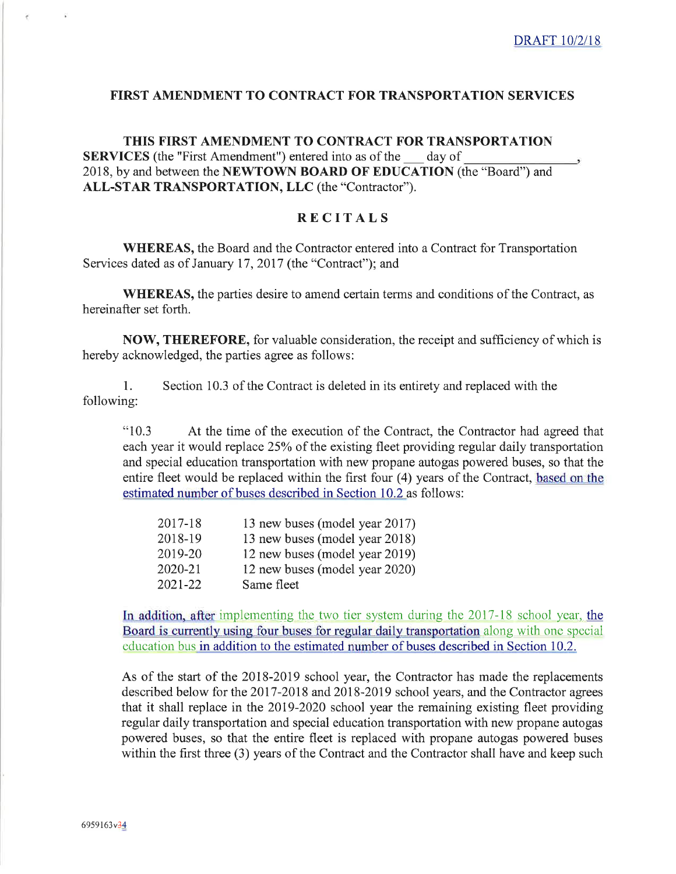#### **FIRST AMENDMENT TO CONTRACT FOR TRANSPORTATION SERVICES**

THIS FIRST AMENDMENT TO CONTRACT FOR TRANSPORTATION **SERVICES** (the "First Amendment") entered into as of the day of 2018, by and between the NEWTOWN BOARD OF EDUCATION (the "Board") and ALL-STAR TRANSPORTATION, LLC (the "Contractor").

#### **RECITALS**

**WHEREAS**, the Board and the Contractor entered into a Contract for Transportation Services dated as of January 17, 2017 (the "Contract"); and

**WHEREAS**, the parties desire to amend certain terms and conditions of the Contract, as hereinafter set forth.

NOW, THEREFORE, for valuable consideration, the receipt and sufficiency of which is hereby acknowledged, the parties agree as follows:

 $1<sub>1</sub>$ Section 10.3 of the Contract is deleted in its entirety and replaced with the following:

"10.3 At the time of the execution of the Contract, the Contractor had agreed that each year it would replace 25% of the existing fleet providing regular daily transportation and special education transportation with new propane autogas powered buses, so that the entire fleet would be replaced within the first four (4) years of the Contract, based on the estimated number of buses described in Section 10.2 as follows:

| 2017-18 | 13 new buses (model year 2017) |
|---------|--------------------------------|
| 2018-19 | 13 new buses (model year 2018) |
| 2019-20 | 12 new buses (model year 2019) |
| 2020-21 | 12 new buses (model year 2020) |
| 2021-22 | Same fleet                     |

In addition, after implementing the two tier system during the 2017-18 school year, the Board is currently using four buses for regular daily transportation along with one special education bus in addition to the estimated number of buses described in Section 10.2.

As of the start of the 2018-2019 school year, the Contractor has made the replacements described below for the 2017-2018 and 2018-2019 school years, and the Contractor agrees that it shall replace in the 2019-2020 school year the remaining existing fleet providing regular daily transportation and special education transportation with new propane autogas powered buses, so that the entire fleet is replaced with propane autogas powered buses within the first three (3) years of the Contract and the Contractor shall have and keep such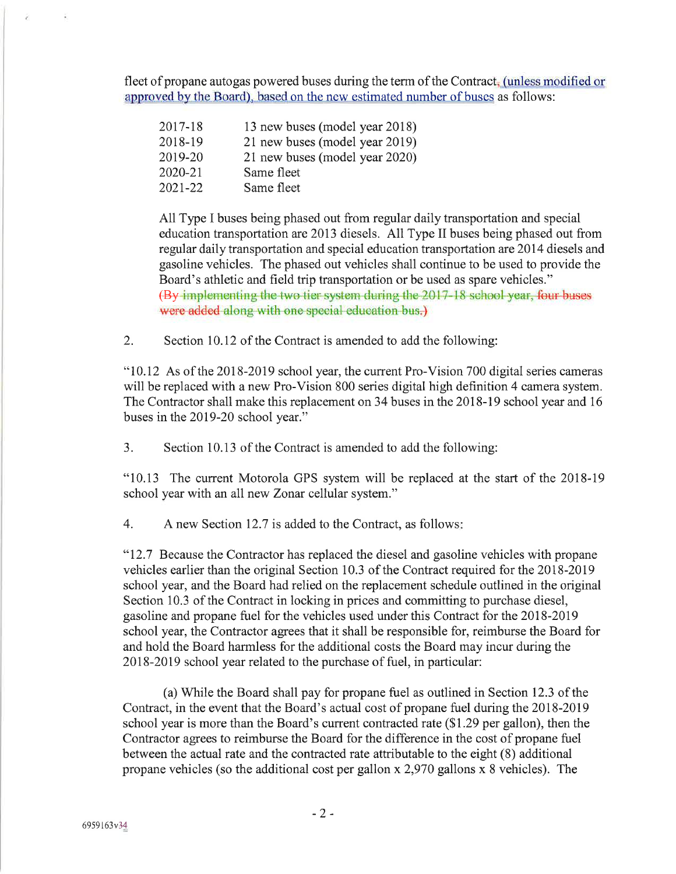fleet of propane autogas powered buses during the term of the Contract, (unless modified or approved by the Board), based on the new estimated number of buses as follows:

| 2017-18 | 13 new buses (model year 2018) |
|---------|--------------------------------|
| 2018-19 | 21 new buses (model year 2019) |
| 2019-20 | 21 new buses (model year 2020) |
| 2020-21 | Same fleet                     |
| 2021-22 | Same fleet                     |

All Type I buses being phased out from regular daily transportation and special education transportation are 2013 diesels. All Type II buses being phased out from regular daily transportation and special education transportation are 2014 diesels and gasoline vehicles. The phased out vehicles shall continue to be used to provide the Board's athletic and field trip transportation or be used as spare vehicles." (By implementing the two tier system during the 2017-18 school year, four buses were added along with one special education bus.)

 $\overline{2}$ . Section 10.12 of the Contract is amended to add the following:

"10.12 As of the 2018-2019 school year, the current Pro-Vision 700 digital series cameras will be replaced with a new Pro-Vision 800 series digital high definition 4 camera system. The Contractor shall make this replacement on 34 buses in the 2018-19 school year and 16 buses in the 2019-20 school year."

 $3.$ Section 10.13 of the Contract is amended to add the following:

"10.13 The current Motorola GPS system will be replaced at the start of the 2018-19 school year with an all new Zonar cellular system."

 $4.$ A new Section 12.7 is added to the Contract, as follows:

"12.7 Because the Contractor has replaced the diesel and gasoline vehicles with propane vehicles earlier than the original Section 10.3 of the Contract required for the 2018-2019 school year, and the Board had relied on the replacement schedule outlined in the original Section 10.3 of the Contract in locking in prices and committing to purchase diesel, gasoline and propane fuel for the vehicles used under this Contract for the 2018-2019 school year, the Contractor agrees that it shall be responsible for, reimburse the Board for and hold the Board harmless for the additional costs the Board may incur during the 2018-2019 school year related to the purchase of fuel, in particular:

(a) While the Board shall pay for propane fuel as outlined in Section 12.3 of the Contract, in the event that the Board's actual cost of propane fuel during the 2018-2019 school year is more than the Board's current contracted rate (\$1.29 per gallon), then the Contractor agrees to reimburse the Board for the difference in the cost of propane fuel between the actual rate and the contracted rate attributable to the eight (8) additional propane vehicles (so the additional cost per gallon x 2,970 gallons x 8 vehicles). The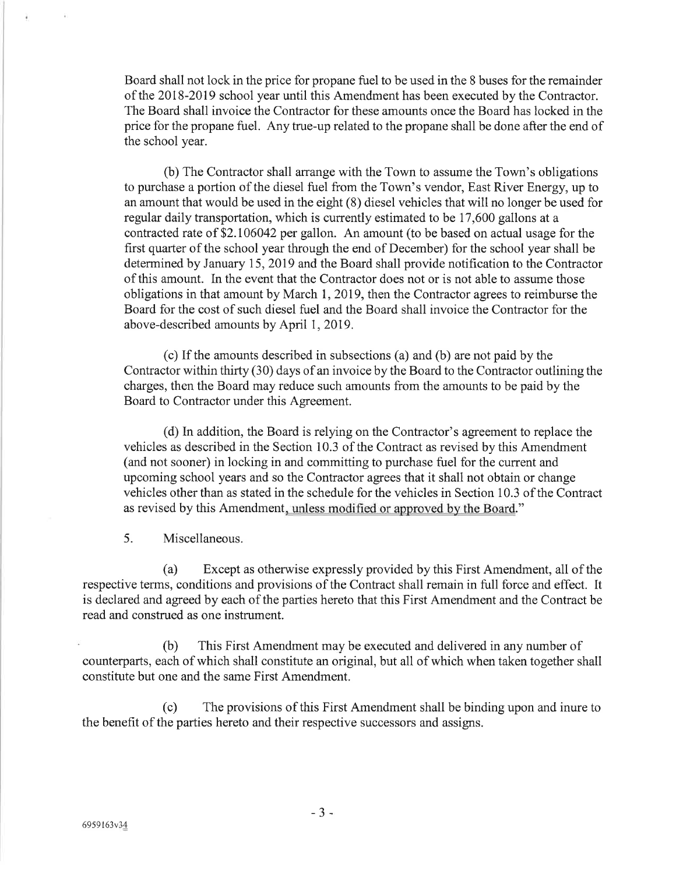Board shall not lock in the price for propane fuel to be used in the 8 buses for the remainder of the 2018-2019 school year until this Amendment has been executed by the Contractor. The Board shall invoice the Contractor for these amounts once the Board has locked in the price for the propane fuel. Any true-up related to the propane shall be done after the end of the school year.

(b) The Contractor shall arrange with the Town to assume the Town's obligations to purchase a portion of the diesel fuel from the Town's vendor, East River Energy, up to an amount that would be used in the eight (8) diesel vehicles that will no longer be used for regular daily transportation, which is currently estimated to be 17,600 gallons at a contracted rate of \$2.106042 per gallon. An amount (to be based on actual usage for the first quarter of the school year through the end of December) for the school year shall be determined by January 15, 2019 and the Board shall provide notification to the Contractor of this amount. In the event that the Contractor does not or is not able to assume those obligations in that amount by March 1, 2019, then the Contractor agrees to reimburse the Board for the cost of such diesel fuel and the Board shall invoice the Contractor for the above-described amounts by April 1, 2019.

(c) If the amounts described in subsections (a) and (b) are not paid by the Contractor within thirty (30) days of an invoice by the Board to the Contractor outlining the charges, then the Board may reduce such amounts from the amounts to be paid by the Board to Contractor under this Agreement.

(d) In addition, the Board is relying on the Contractor's agreement to replace the vehicles as described in the Section 10.3 of the Contract as revised by this Amendment (and not sooner) in locking in and committing to purchase fuel for the current and upcoming school years and so the Contractor agrees that it shall not obtain or change vehicles other than as stated in the schedule for the vehicles in Section 10.3 of the Contract as revised by this Amendment, unless modified or approved by the Board."

 $5<sub>1</sub>$ Miscellaneous.

Except as otherwise expressly provided by this First Amendment, all of the (a) respective terms, conditions and provisions of the Contract shall remain in full force and effect. It is declared and agreed by each of the parties hereto that this First Amendment and the Contract be read and construed as one instrument.

 $(b)$ This First Amendment may be executed and delivered in any number of counterparts, each of which shall constitute an original, but all of which when taken together shall constitute but one and the same First Amendment.

The provisions of this First Amendment shall be binding upon and inure to  $(c)$ the benefit of the parties hereto and their respective successors and assigns.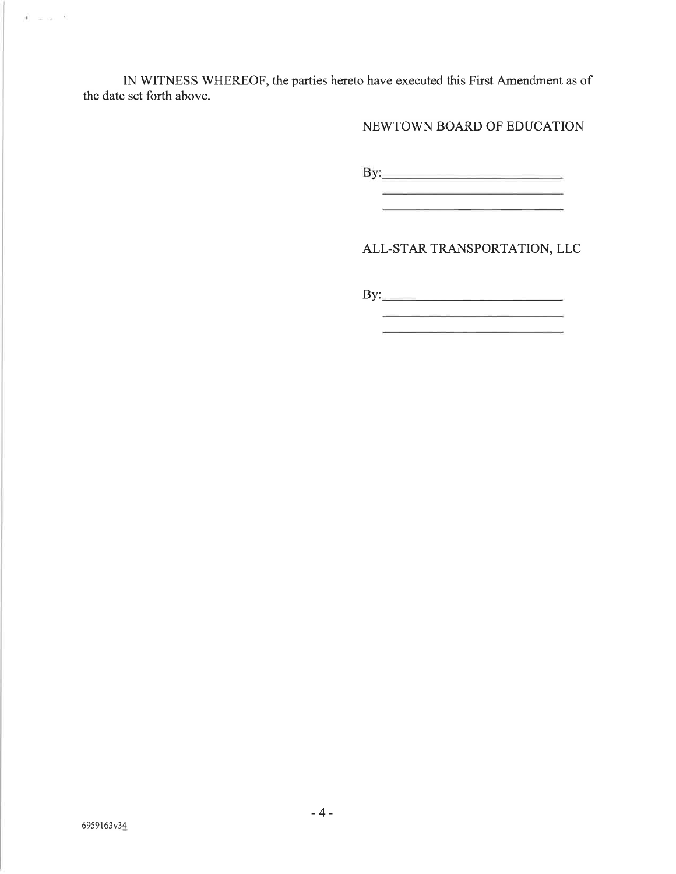IN WITNESS WHEREOF, the parties hereto have executed this First Amendment as of the date set forth above.

NEWTOWN BOARD OF EDUCATION

ALL-STAR TRANSPORTATION, LLC

<u> 1980 - Jan Berlin, mars al provincia estableci</u>

<u> 1989 - Jan Stein Stein, fransk politiker (d. 1989)</u> <u> 1989 - Johann Barn, mars et al. (b. 1989)</u>

 $\label{eq:1} \mathcal{A} = \omega_{121} - \mathcal{R}.$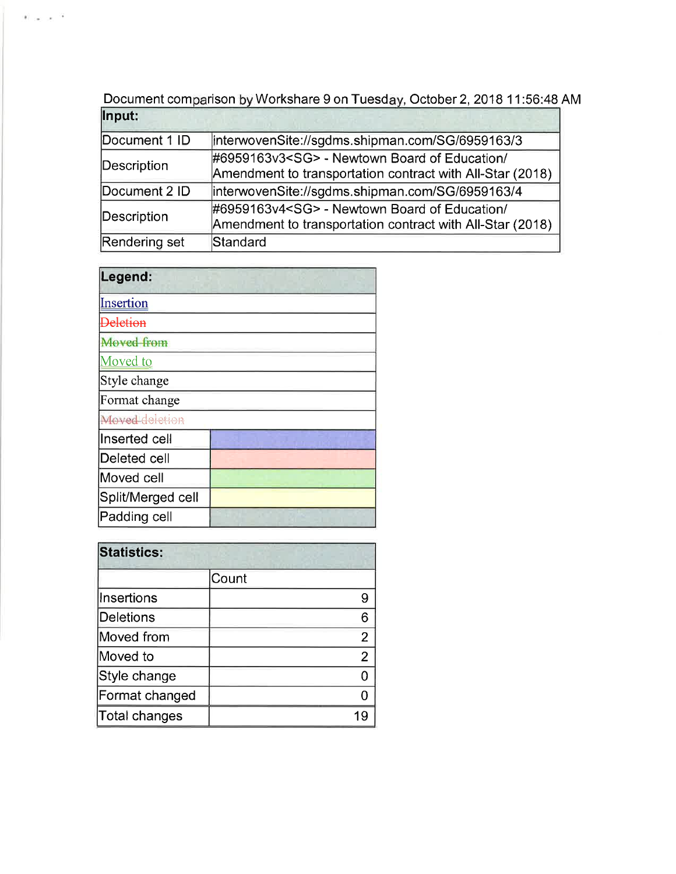Document comparison by Workshare 9 on Tuesday, October 2, 2018 11:56:48 AM

| linterwovenSite://sgdms.shipman.com/SG/6959163/3          |
|-----------------------------------------------------------|
| #6959163v3 <sg> - Newtown Board of Education/</sg>        |
| Amendment to transportation contract with All-Star (2018) |
| interwovenSite://sgdms.shipman.com/SG/6959163/4           |
| #6959163v4 <sg> - Newtown Board of Education/</sg>        |
| Amendment to transportation contract with All-Star (2018) |
| Standard                                                  |
|                                                           |

| Legend:           |  |
|-------------------|--|
| Insertion         |  |
| <b>Deletion</b>   |  |
| Moved from        |  |
| Moved to          |  |
| Style change      |  |
| Format change     |  |
| Moved deletion    |  |
| lInserted cell    |  |
| Deleted cell      |  |
| Moved cell        |  |
| Split/Merged cell |  |
| Padding cell      |  |

 $\mathbb{E} \sim \mathbb{E} \times 10^{-12}$ 

| <b>Statistics:</b> |                |
|--------------------|----------------|
|                    | Count          |
| <b>Insertions</b>  | 9              |
| Deletions          | 6              |
| Moved from         | $\overline{2}$ |
| Moved to           | 2              |
| Style change       |                |
| Format changed     |                |
| Total changes      |                |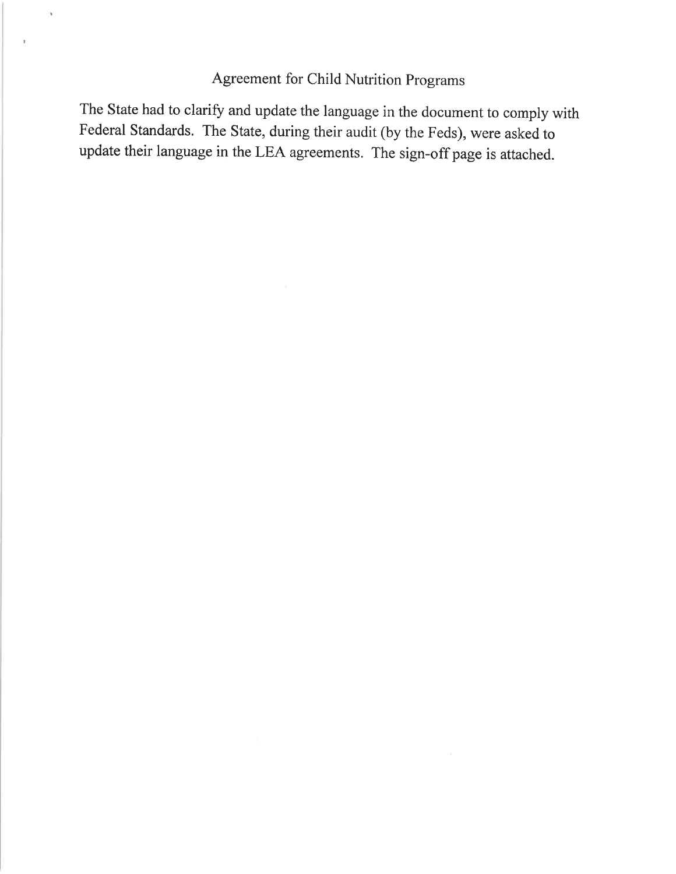# Agreement for Child Nutrition Programs

'n.

ä

The State had to clarify and update the language in the document to comply with Federal Standards. The State, during their audit (by the Feds), were asked to update their language in the LEA agreements. The sign-off page is attached.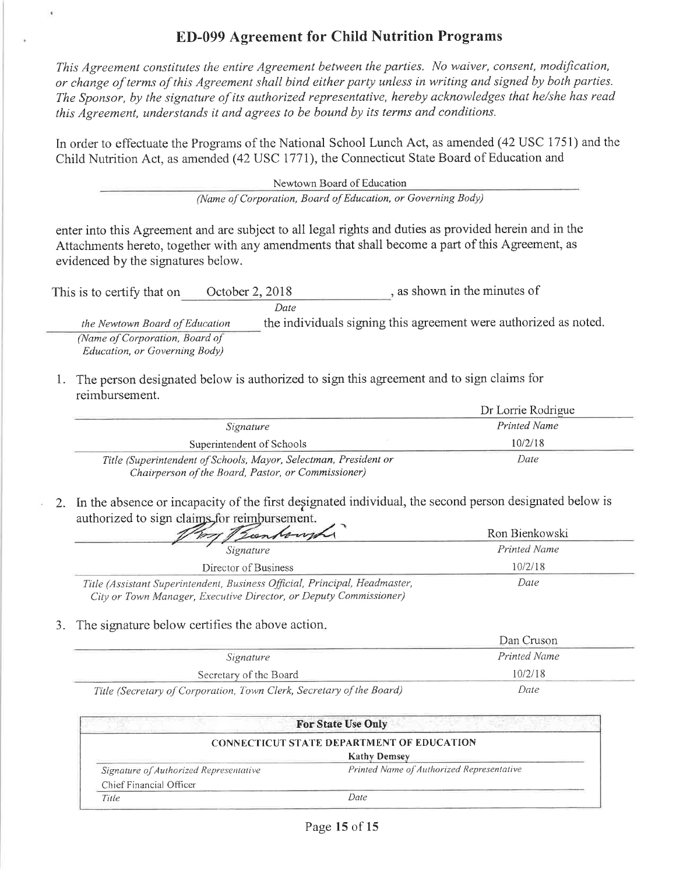## **ED-099 Agreement for Child Nutrition Programs**

This Agreement constitutes the entire Agreement between the parties. No waiver, consent, modification, or change of terms of this Agreement shall bind either party unless in writing and signed by both parties. The Sponsor, by the signature of its authorized representative, hereby acknowledges that he/she has read this Agreement, understands it and agrees to be bound by its terms and conditions.

In order to effectuate the Programs of the National School Lunch Act, as amended (42 USC 1751) and the Child Nutrition Act, as amended (42 USC 1771), the Connecticut State Board of Education and

> Newtown Board of Education (Name of Corporation, Board of Education, or Governing Body)

enter into this Agreement and are subject to all legal rights and duties as provided herein and in the Attachments hereto, together with any amendments that shall become a part of this Agreement, as evidenced by the signatures below.

| This is to certify that on     | October 2, 2018 | as shown in the minutes of                                       |
|--------------------------------|-----------------|------------------------------------------------------------------|
|                                | Date            |                                                                  |
| the Newtown Board of Education |                 | the individuals signing this agreement were authorized as noted. |
| (Name of Corporation, Board of |                 |                                                                  |
| Education, or Governing Body)  |                 |                                                                  |

1. The person designated below is authorized to sign this agreement and to sign claims for reimbursement.

|                                                                  | Dr Lorrie Rodrigue |
|------------------------------------------------------------------|--------------------|
| Signature                                                        | Printed Name       |
| Superintendent of Schools                                        | 10/2/18            |
| Title (Superintendent of Schools, Mayor, Selectman, President or | Date               |
| Chairperson of the Board, Pastor, or Commissioner)               |                    |

2. In the absence or incapacity of the first designated individual, the second person designated below is authorized to sign claims for reimbursement.

| They Bankough                                                                                                                                   | Ron Bienkowski |
|-------------------------------------------------------------------------------------------------------------------------------------------------|----------------|
| Signature                                                                                                                                       | Printed Name   |
| Director of Business                                                                                                                            | 10/2/18        |
| Title (Assistant Superintendent, Business Official, Principal, Headmaster,<br>City or Town Manager, Executive Director, or Deputy Commissioner) | Date           |

#### 3. The signature below certifies the above action.

 $\pmb{\epsilon}$ 

|                                                                      | Dan Cruson   |  |
|----------------------------------------------------------------------|--------------|--|
| Signature                                                            | Printed Name |  |
| Secretary of the Board                                               | 10/2/18      |  |
| Title (Secretary of Corporation, Town Clerk, Secretary of the Board) | Date         |  |

|                                                  | <b>For State Use Only</b>                 |  |
|--------------------------------------------------|-------------------------------------------|--|
| <b>CONNECTICUT STATE DEPARTMENT OF EDUCATION</b> |                                           |  |
|                                                  | <b>Kathy Demsey</b>                       |  |
| Signature of Authorized Representative           | Printed Name of Authorized Representative |  |
| Chief Financial Officer                          |                                           |  |
| Title                                            | Date                                      |  |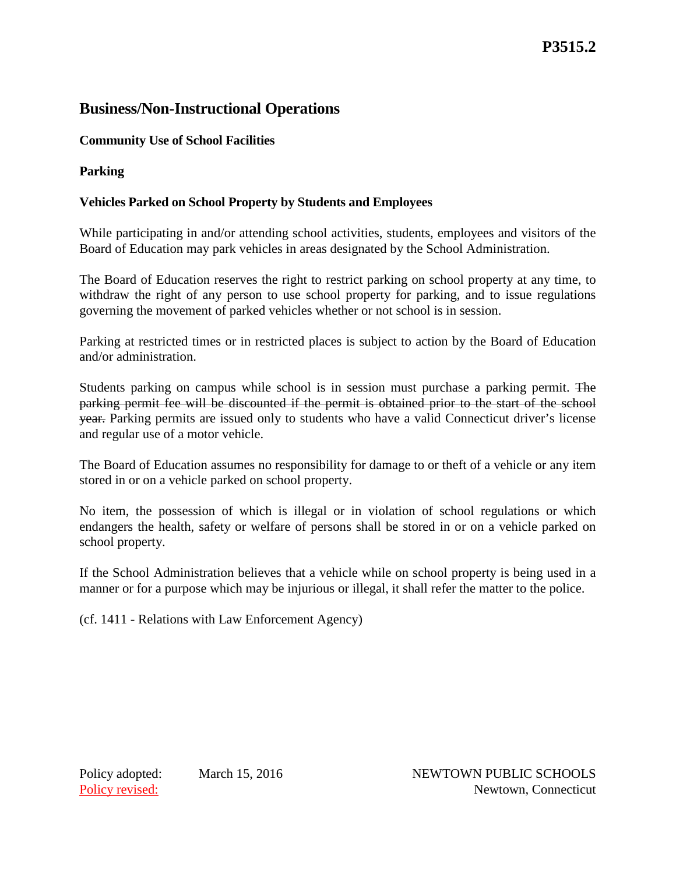## **Business/Non-Instructional Operations**

## **Community Use of School Facilities**

**Parking**

## **Vehicles Parked on School Property by Students and Employees**

While participating in and/or attending school activities, students, employees and visitors of the Board of Education may park vehicles in areas designated by the School Administration.

The Board of Education reserves the right to restrict parking on school property at any time, to withdraw the right of any person to use school property for parking, and to issue regulations governing the movement of parked vehicles whether or not school is in session.

Parking at restricted times or in restricted places is subject to action by the Board of Education and/or administration.

Students parking on campus while school is in session must purchase a parking permit. The parking permit fee will be discounted if the permit is obtained prior to the start of the school year. Parking permits are issued only to students who have a valid Connecticut driver's license and regular use of a motor vehicle.

The Board of Education assumes no responsibility for damage to or theft of a vehicle or any item stored in or on a vehicle parked on school property.

No item, the possession of which is illegal or in violation of school regulations or which endangers the health, safety or welfare of persons shall be stored in or on a vehicle parked on school property.

If the School Administration believes that a vehicle while on school property is being used in a manner or for a purpose which may be injurious or illegal, it shall refer the matter to the police.

(cf. 1411 - Relations with Law Enforcement Agency)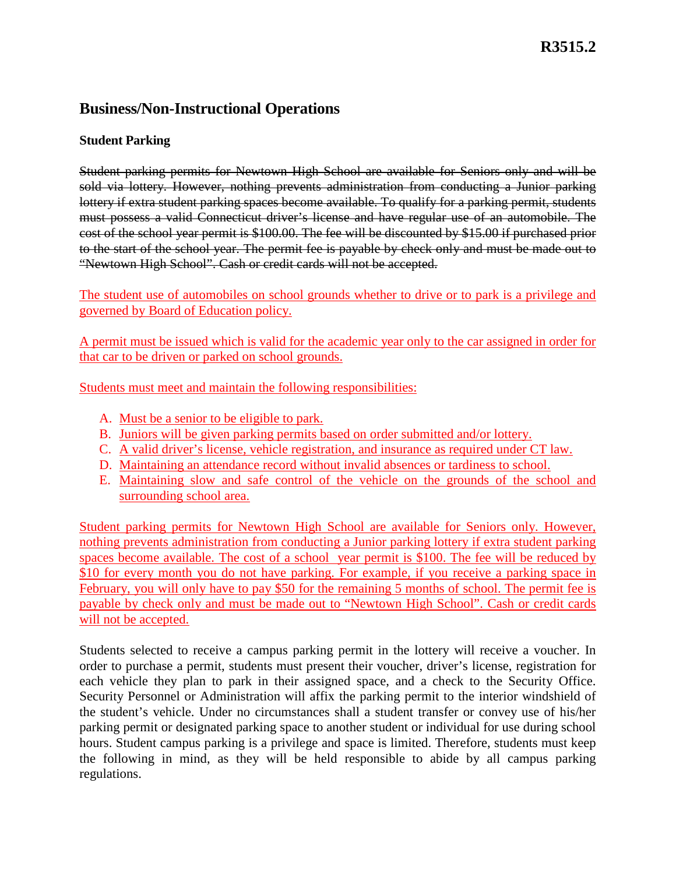## **Business/Non-Instructional Operations**

## **Student Parking**

Student parking permits for Newtown High School are available for Seniors only and will be sold via lottery. However, nothing prevents administration from conducting a Junior parking lottery if extra student parking spaces become available. To qualify for a parking permit, students must possess a valid Connecticut driver's license and have regular use of an automobile. The cost of the school year permit is \$100.00. The fee will be discounted by \$15.00 if purchased prior to the start of the school year. The permit fee is payable by check only and must be made out to "Newtown High School". Cash or credit cards will not be accepted.

The student use of automobiles on school grounds whether to drive or to park is a privilege and governed by Board of Education policy.

A permit must be issued which is valid for the academic year only to the car assigned in order for that car to be driven or parked on school grounds.

Students must meet and maintain the following responsibilities:

- A. Must be a senior to be eligible to park.
- B. Juniors will be given parking permits based on order submitted and/or lottery.
- C. A valid driver's license, vehicle registration, and insurance as required under CT law.
- D. Maintaining an attendance record without invalid absences or tardiness to school.
- E. Maintaining slow and safe control of the vehicle on the grounds of the school and surrounding school area.

Student parking permits for Newtown High School are available for Seniors only. However, nothing prevents administration from conducting a Junior parking lottery if extra student parking spaces become available. The cost of a school year permit is \$100. The fee will be reduced by \$10 for every month you do not have parking. For example, if you receive a parking space in February, you will only have to pay \$50 for the remaining 5 months of school. The permit fee is payable by check only and must be made out to "Newtown High School". Cash or credit cards will not be accepted.

Students selected to receive a campus parking permit in the lottery will receive a voucher. In order to purchase a permit, students must present their voucher, driver's license, registration for each vehicle they plan to park in their assigned space, and a check to the Security Office. Security Personnel or Administration will affix the parking permit to the interior windshield of the student's vehicle. Under no circumstances shall a student transfer or convey use of his/her parking permit or designated parking space to another student or individual for use during school hours. Student campus parking is a privilege and space is limited. Therefore, students must keep the following in mind, as they will be held responsible to abide by all campus parking regulations.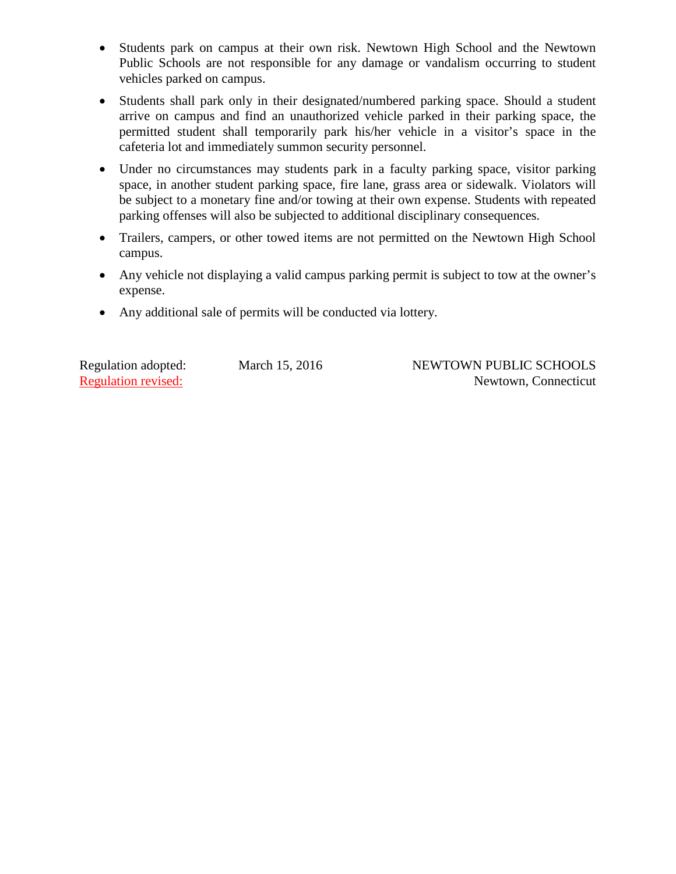- Students park on campus at their own risk. Newtown High School and the Newtown Public Schools are not responsible for any damage or vandalism occurring to student vehicles parked on campus.
- Students shall park only in their designated/numbered parking space. Should a student arrive on campus and find an unauthorized vehicle parked in their parking space, the permitted student shall temporarily park his/her vehicle in a visitor's space in the cafeteria lot and immediately summon security personnel.
- Under no circumstances may students park in a faculty parking space, visitor parking space, in another student parking space, fire lane, grass area or sidewalk. Violators will be subject to a monetary fine and/or towing at their own expense. Students with repeated parking offenses will also be subjected to additional disciplinary consequences.
- Trailers, campers, or other towed items are not permitted on the Newtown High School campus.
- Any vehicle not displaying a valid campus parking permit is subject to tow at the owner's expense.
- Any additional sale of permits will be conducted via lottery.

Regulation adopted: March 15, 2016 NEWTOWN PUBLIC SCHOOLS Regulation revised: Newtown, Connecticut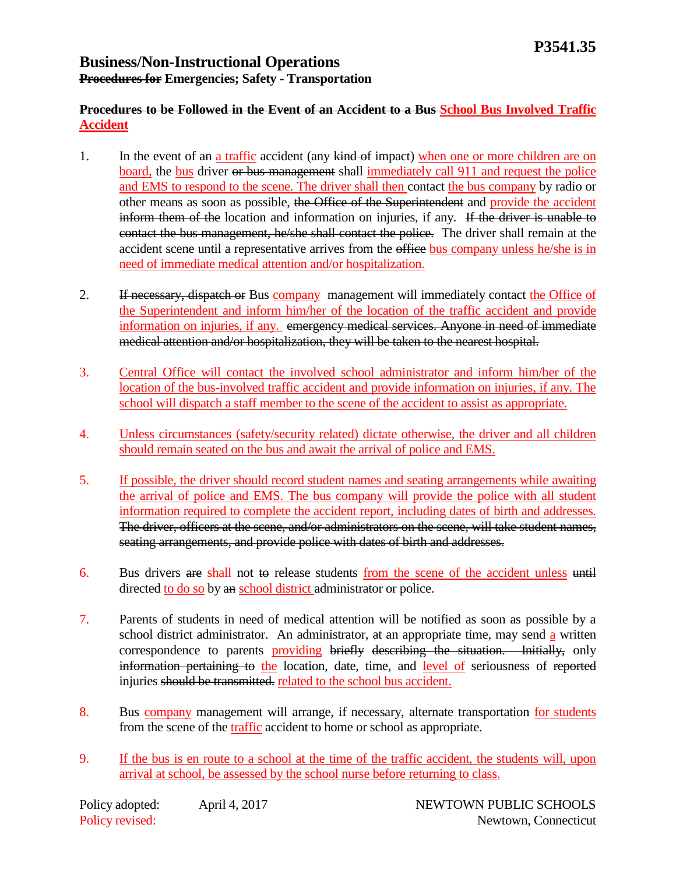## **Business/Non-Instructional Operations Procedures for Emergencies; Safety - Transportation**

## **Procedures to be Followed in the Event of an Accident to a Bus School Bus Involved Traffic Accident**

- 1. In the event of an a traffic accident (any kind of impact) when one or more children are on board, the bus driver or bus management shall immediately call 911 and request the police and EMS to respond to the scene. The driver shall then contact the bus company by radio or other means as soon as possible, the Office of the Superintendent and provide the accident inform them of the location and information on injuries, if any. If the driver is unable to contact the bus management, he/she shall contact the police. The driver shall remain at the accident scene until a representative arrives from the office bus company unless he/she is in need of immediate medical attention and/or hospitalization.
- 2. If necessary, dispatch or Bus company management will immediately contact the Office of the Superintendent and inform him/her of the location of the traffic accident and provide information on injuries, if any. emergency medical services. Anyone in need of immediate medical attention and/or hospitalization, they will be taken to the nearest hospital.
- 3. Central Office will contact the involved school administrator and inform him/her of the location of the bus-involved traffic accident and provide information on injuries, if any. The school will dispatch a staff member to the scene of the accident to assist as appropriate.
- 4. Unless circumstances (safety/security related) dictate otherwise, the driver and all children should remain seated on the bus and await the arrival of police and EMS.
- 5. If possible, the driver should record student names and seating arrangements while awaiting the arrival of police and EMS. The bus company will provide the police with all student information required to complete the accident report, including dates of birth and addresses. The driver, officers at the scene, and/or administrators on the scene, will take student names, seating arrangements, and provide police with dates of birth and addresses.
- 6. Bus drivers are shall not to release students from the scene of the accident unless until directed to do so by an school district administrator or police.
- 7. Parents of students in need of medical attention will be notified as soon as possible by a school district administrator. An administrator, at an appropriate time, may send a written correspondence to parents providing briefly describing the situation. Initially, only information pertaining to the location, date, time, and level of seriousness of reported injuries should be transmitted. related to the school bus accident.
- 8. Bus company management will arrange, if necessary, alternate transportation for students from the scene of the traffic accident to home or school as appropriate.
- 9. If the bus is en route to a school at the time of the traffic accident, the students will, upon arrival at school, be assessed by the school nurse before returning to class.